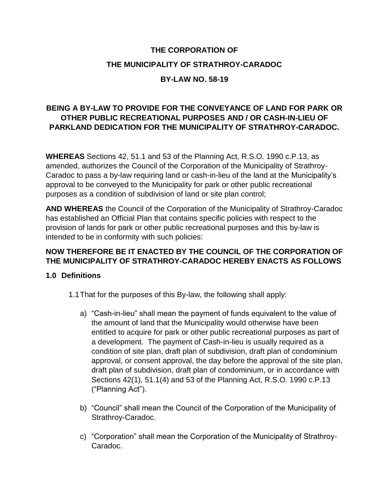# **THE CORPORATION OF THE MUNICIPALITY OF STRATHROY-CARADOC**

#### **BY-LAW NO. 58-19**

## **BEING A BY-LAW TO PROVIDE FOR THE CONVEYANCE OF LAND FOR PARK OR OTHER PUBLIC RECREATIONAL PURPOSES AND / OR CASH-IN-LIEU OF PARKLAND DEDICATION FOR THE MUNICIPALITY OF STRATHROY-CARADOC.**

**WHEREAS** Sections 42, 51.1 and 53 of the Planning Act, R.S.O. 1990 c.P.13, as amended, authorizes the Council of the Corporation of the Municipality of Strathroy-Caradoc to pass a by-law requiring land or cash-in-lieu of the land at the Municipality's approval to be conveyed to the Municipality for park or other public recreational purposes as a condition of subdivision of land or site plan control;

**AND WHEREAS** the Council of the Corporation of the Municipality of Strathroy-Caradoc has established an Official Plan that contains specific policies with respect to the provision of lands for park or other public recreational purposes and this by-law is intended to be in conformity with such policies:

#### **NOW THEREFORE BE IT ENACTED BY THE COUNCIL OF THE CORPORATION OF THE MUNICIPALITY OF STRATHROY-CARADOC HEREBY ENACTS AS FOLLOWS**

#### **1.0 Definitions**

- 1.1That for the purposes of this By-law, the following shall apply:
	- a) "Cash-in-lieu" shall mean the payment of funds equivalent to the value of the amount of land that the Municipality would otherwise have been entitled to acquire for park or other public recreational purposes as part of a development. The payment of Cash-in-lieu is usually required as a condition of site plan, draft plan of subdivision, draft plan of condominium approval, or consent approval, the day before the approval of the site plan, draft plan of subdivision, draft plan of condominium, or in accordance with Sections 42(1), 51.1(4) and 53 of the Planning Act, R.S.O. 1990 c.P.13 ("Planning Act").
	- b) "Council" shall mean the Council of the Corporation of the Municipality of Strathroy-Caradoc.
	- c) "Corporation" shall mean the Corporation of the Municipality of Strathroy-Caradoc.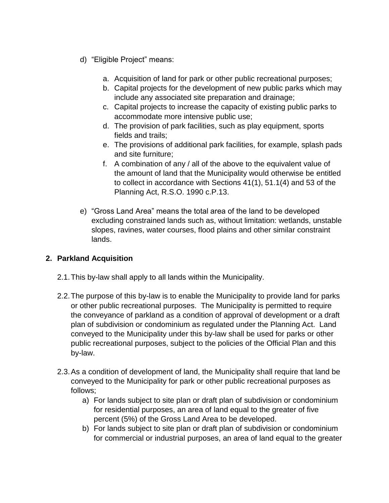- d) "Eligible Project" means:
	- a. Acquisition of land for park or other public recreational purposes;
	- b. Capital projects for the development of new public parks which may include any associated site preparation and drainage;
	- c. Capital projects to increase the capacity of existing public parks to accommodate more intensive public use;
	- d. The provision of park facilities, such as play equipment, sports fields and trails;
	- e. The provisions of additional park facilities, for example, splash pads and site furniture;
	- f. A combination of any / all of the above to the equivalent value of the amount of land that the Municipality would otherwise be entitled to collect in accordance with Sections 41(1), 51.1(4) and 53 of the Planning Act, R.S.O. 1990 c.P.13.
- e) "Gross Land Area" means the total area of the land to be developed excluding constrained lands such as, without limitation: wetlands, unstable slopes, ravines, water courses, flood plains and other similar constraint lands.

## **2. Parkland Acquisition**

- 2.1.This by-law shall apply to all lands within the Municipality.
- 2.2.The purpose of this by-law is to enable the Municipality to provide land for parks or other public recreational purposes. The Municipality is permitted to require the conveyance of parkland as a condition of approval of development or a draft plan of subdivision or condominium as regulated under the Planning Act. Land conveyed to the Municipality under this by-law shall be used for parks or other public recreational purposes, subject to the policies of the Official Plan and this by-law.
- 2.3.As a condition of development of land, the Municipality shall require that land be conveyed to the Municipality for park or other public recreational purposes as follows;
	- a) For lands subject to site plan or draft plan of subdivision or condominium for residential purposes, an area of land equal to the greater of five percent (5%) of the Gross Land Area to be developed.
	- b) For lands subject to site plan or draft plan of subdivision or condominium for commercial or industrial purposes, an area of land equal to the greater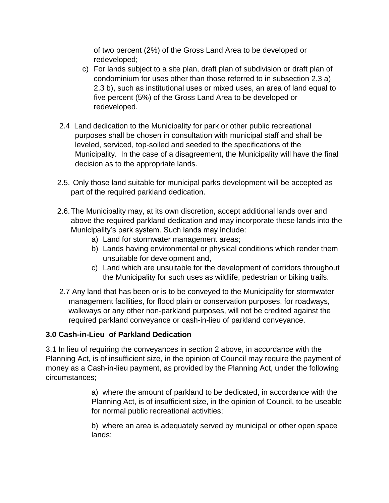of two percent (2%) of the Gross Land Area to be developed or redeveloped;

- c) For lands subject to a site plan, draft plan of subdivision or draft plan of condominium for uses other than those referred to in subsection 2.3 a) 2.3 b), such as institutional uses or mixed uses, an area of land equal to five percent (5%) of the Gross Land Area to be developed or redeveloped.
- 2.4 Land dedication to the Municipality for park or other public recreational purposes shall be chosen in consultation with municipal staff and shall be leveled, serviced, top-soiled and seeded to the specifications of the Municipality. In the case of a disagreement, the Municipality will have the final decision as to the appropriate lands.
- 2.5. Only those land suitable for municipal parks development will be accepted as part of the required parkland dedication.
- 2.6.The Municipality may, at its own discretion, accept additional lands over and above the required parkland dedication and may incorporate these lands into the Municipality's park system. Such lands may include:
	- a) Land for stormwater management areas;
	- b) Lands having environmental or physical conditions which render them unsuitable for development and,
	- c) Land which are unsuitable for the development of corridors throughout the Municipality for such uses as wildlife, pedestrian or biking trails.
- 2.7 Any land that has been or is to be conveyed to the Municipality for stormwater management facilities, for flood plain or conservation purposes, for roadways, walkways or any other non-parkland purposes, will not be credited against the required parkland conveyance or cash-in-lieu of parkland conveyance.

## **3.0 Cash-in-Lieu of Parkland Dedication**

3.1 In lieu of requiring the conveyances in section 2 above, in accordance with the Planning Act, is of insufficient size, in the opinion of Council may require the payment of money as a Cash-in-lieu payment, as provided by the Planning Act, under the following circumstances;

> a) where the amount of parkland to be dedicated, in accordance with the Planning Act, is of insufficient size, in the opinion of Council, to be useable for normal public recreational activities;

b) where an area is adequately served by municipal or other open space lands;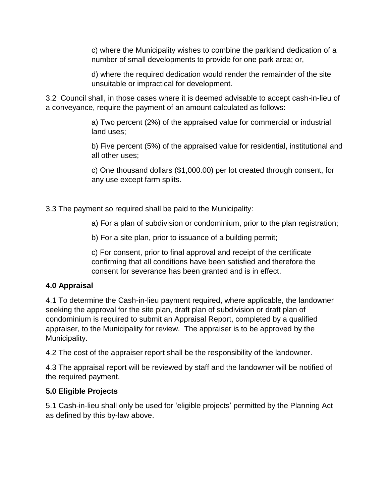c) where the Municipality wishes to combine the parkland dedication of a number of small developments to provide for one park area; or,

d) where the required dedication would render the remainder of the site unsuitable or impractical for development.

3.2 Council shall, in those cases where it is deemed advisable to accept cash-in-lieu of a conveyance, require the payment of an amount calculated as follows:

> a) Two percent (2%) of the appraised value for commercial or industrial land uses;

b) Five percent (5%) of the appraised value for residential, institutional and all other uses;

c) One thousand dollars (\$1,000.00) per lot created through consent, for any use except farm splits.

3.3 The payment so required shall be paid to the Municipality:

a) For a plan of subdivision or condominium, prior to the plan registration;

b) For a site plan, prior to issuance of a building permit;

c) For consent, prior to final approval and receipt of the certificate confirming that all conditions have been satisfied and therefore the consent for severance has been granted and is in effect.

## **4.0 Appraisal**

4.1 To determine the Cash-in-lieu payment required, where applicable, the landowner seeking the approval for the site plan, draft plan of subdivision or draft plan of condominium is required to submit an Appraisal Report, completed by a qualified appraiser, to the Municipality for review. The appraiser is to be approved by the Municipality.

4.2 The cost of the appraiser report shall be the responsibility of the landowner.

4.3 The appraisal report will be reviewed by staff and the landowner will be notified of the required payment.

## **5.0 Eligible Projects**

5.1 Cash-in-lieu shall only be used for 'eligible projects' permitted by the Planning Act as defined by this by-law above.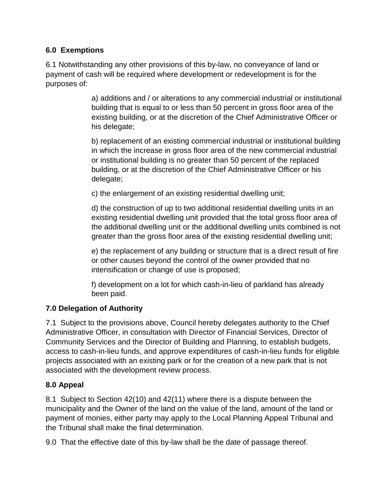#### **6.0 Exemptions**

6.1 Notwithstanding any other provisions of this by-law, no conveyance of land or payment of cash will be required where development or redevelopment is for the purposes of:

> a) additions and / or alterations to any commercial industrial or institutional building that is equal to or less than 50 percent in gross floor area of the existing building, or at the discretion of the Chief Administrative Officer or his delegate;

> b) replacement of an existing commercial industrial or institutional building in which the increase in gross floor area of the new commercial industrial or institutional building is no greater than 50 percent of the replaced building, or at the discretion of the Chief Administrative Officer or his delegate;

c) the enlargement of an existing residential dwelling unit;

d) the construction of up to two additional residential dwelling units in an existing residential dwelling unit provided that the total gross floor area of the additional dwelling unit or the additional dwelling units combined is not greater than the gross floor area of the existing residential dwelling unit;

e) the replacement of any building or structure that is a direct result of fire or other causes beyond the control of the owner provided that no intensification or change of use is proposed;

f) development on a lot for which cash-in-lieu of parkland has already been paid.

## **7.0 Delegation of Authority**

7.1 Subject to the provisions above, Council hereby delegates authority to the Chief Administrative Officer, in consultation with Director of Financial Services, Director of Community Services and the Director of Building and Planning, to establish budgets, access to cash-in-lieu funds, and approve expenditures of cash-in-lieu funds for eligible projects associated with an existing park or for the creation of a new park that is not associated with the development review process.

## **8.0 Appeal**

8.1 Subject to Section 42(10) and 42(11) where there is a dispute between the municipality and the Owner of the land on the value of the land, amount of the land or payment of monies, either party may apply to the Local Planning Appeal Tribunal and the Tribunal shall make the final determination.

9.0 That the effective date of this by-law shall be the date of passage thereof.